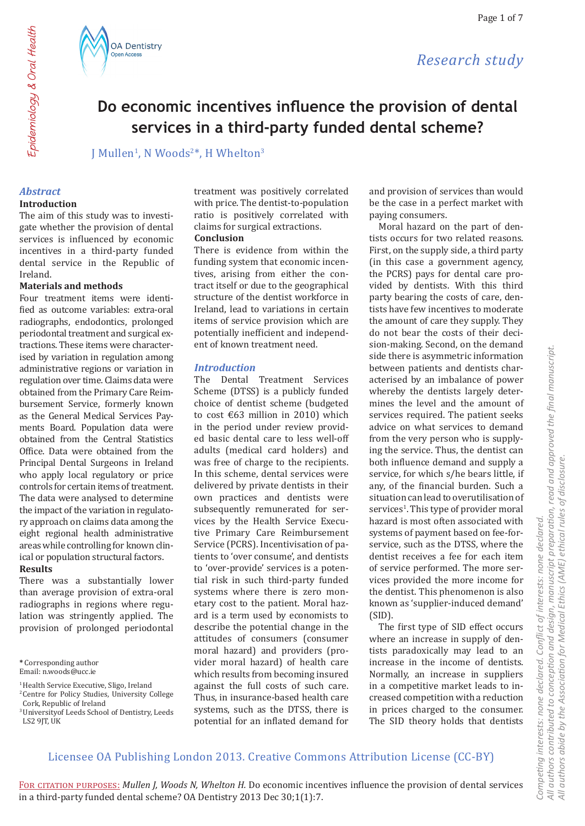





J Mullen<sup>1</sup>, N Woods<sup>2\*</sup>, H Whelton<sup>3</sup>

## *Abstract*

## **Introduction**

The aim of this study was to investigate whether the provision of dental services is influenced by economic incentives in a third-party funded dental service in the Republic of Ireland.

#### **Materials and methods**

Four treatment items were identified as outcome variables: extra-oral radiographs, endodontics, prolonged periodontal treatment and surgical extractions. These items were characterised by variation in regulation among administrative regions or variation in regulation over time. Claims data were obtained from the Primary Care Reimbursement Service, formerly known as the General Medical Services Payments Board. Population data were obtained from the Central Statistics Office. Data were obtained from the Principal Dental Surgeons in Ireland who apply local regulatory or price controls for certain items of treatment. The data were analysed to determine the impact of the variation in regulatory approach on claims data among the eight regional health administrative areas while controlling for known clinical or population structural factors. **Results**

There was a substantially lower than average provision of extra-oral radiographs in regions where regulation was stringently applied. The provision of prolonged periodontal

<sup>1</sup> Health Service Executive, Sligo, Ireland <sup>2</sup> Centre for Policy Studies, University College treatment was positively correlated with price. The dentist-to-population ratio is positively correlated with claims for surgical extractions.

#### **Conclusion**

There is evidence from within the funding system that economic incentives, arising from either the contract itself or due to the geographical structure of the dentist workforce in Ireland, lead to variations in certain items of service provision which are potentially inefficient and independent of known treatment need.

## *Introduction*

The Dental Treatment Services Scheme (DTSS) is a publicly funded choice of dentist scheme (budgeted to cost €63 million in 2010) which in the period under review provided basic dental care to less well-off adults (medical card holders) and was free of charge to the recipients. In this scheme, dental services were delivered by private dentists in their own practices and dentists were subsequently remunerated for services by the Health Service Executive Primary Care Reimbursement Service (PCRS). Incentivisation of patients to 'over consume', and dentists to 'over-provide' services is a potential risk in such third-party funded systems where there is zero monetary cost to the patient. Moral hazard is a term used by economists to describe the potential change in the attitudes of consumers (consumer moral hazard) and providers (provider moral hazard) of health care which results from becoming insured against the full costs of such care. Thus, in insurance-based health care systems, such as the DTSS, there is potential for an inflated demand for

and provision of services than would be the case in a perfect market with paying consumers.

Moral hazard on the part of dentists occurs for two related reasons. First, on the supply side, a third party (in this case a government agency, the PCRS) pays for dental care provided by dentists. With this third party bearing the costs of care, dentists have few incentives to moderate the amount of care they supply. They do not bear the costs of their decision-making. Second, on the demand side there is asymmetric information between patients and dentists characterised by an imbalance of power whereby the dentists largely determines the level and the amount of services required. The patient seeks advice on what services to demand from the very person who is supplying the service. Thus, the dentist can both influence demand and supply a service, for which s/he bears little, if any, of the financial burden. Such a situation can lead to overutilisation of services<sup>1</sup>. This type of provider moral hazard is most often associated with systems of payment based on fee-forservice, such as the DTSS, where the dentist receives a fee for each item of service performed. The more services provided the more income for the dentist. This phenomenon is also known as 'supplier-induced demand' (SID).

The first type of SID effect occurs where an increase in supply of dentists paradoxically may lead to an increase in the income of dentists. Normally, an increase in suppliers in a competitive market leads to increased competition with a reduction in prices charged to the consumer. The SID theory holds that dentists

## Licensee OA Publishing London 2013. Creative Commons Attribution License (CC-BY)

Epidemiology & Oral Health Epidemiology & Oral Health

**<sup>\*</sup>** Corresponding author

Email: n.woods@ucc.ie

Cork, Republic of Ireland

<sup>3</sup>Universityof Leeds School of Dentistry, Leeds LS2 9JT, UK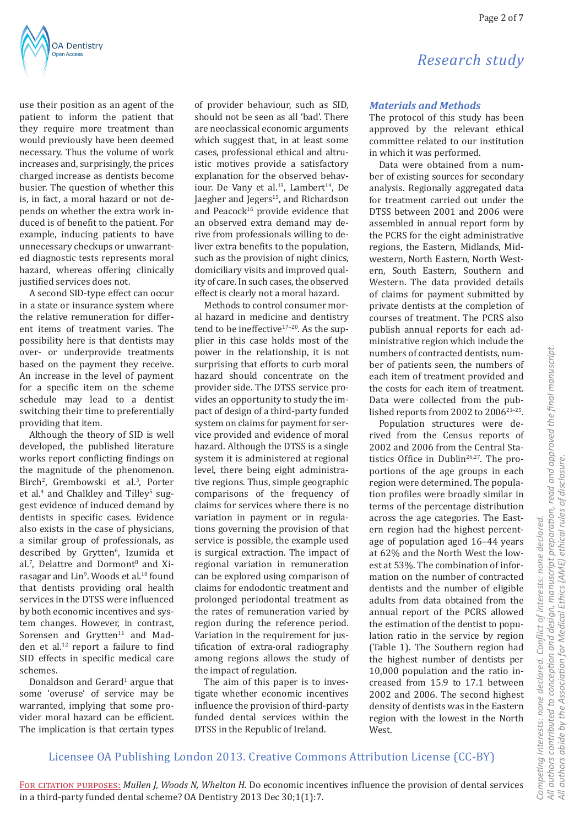

use their position as an agent of the patient to inform the patient that they require more treatment than would previously have been deemed necessary. Thus the volume of work increases and, surprisingly, the prices charged increase as dentists become busier. The question of whether this is, in fact, a moral hazard or not depends on whether the extra work induced is of benefit to the patient. For example, inducing patients to have unnecessary checkups or unwarranted diagnostic tests represents moral hazard, whereas offering clinically justified services does not.

A second SID-type effect can occur in a state or insurance system where the relative remuneration for different items of treatment varies. The possibility here is that dentists may over- or underprovide treatments based on the payment they receive. An increase in the level of payment for a specific item on the scheme schedule may lead to a dentist switching their time to preferentially providing that item.

Although the theory of SID is well developed, the published literature works report conflicting findings on the magnitude of the phenomenon. Birch<sup>2</sup>, Grembowski et al.<sup>3</sup>, Porter et al.<sup>4</sup> and Chalkley and Tilley<sup>5</sup> suggest evidence of induced demand by dentists in specific cases. Evidence also exists in the case of physicians, a similar group of professionals, as described by Grytten<sup>6</sup>, Izumida et al.<sup>7</sup>, Delattre and Dormont<sup>8</sup> and Xirasagar and Lin<sup>9</sup>. Woods et al.<sup>10</sup> found that dentists providing oral health services in the DTSS were influenced by both economic incentives and system changes. However, in contrast, Sorensen and Grytten<sup>11</sup> and Madden et al.<sup>12</sup> report a failure to find SID effects in specific medical care schemes.

Donaldson and Gerard<sup>1</sup> argue that some 'overuse' of service may be warranted, implying that some provider moral hazard can be efficient. The implication is that certain types

of provider behaviour, such as SID, should not be seen as all 'bad'. There are neoclassical economic arguments which suggest that, in at least some cases, professional ethical and altruistic motives provide a satisfactory explanation for the observed behaviour. De Vany et al.<sup>13</sup>, Lambert<sup>14</sup>, De Jaegher and Jegers<sup>15</sup>, and Richardson and Peacock<sup>16</sup> provide evidence that an observed extra demand may derive from professionals willing to deliver extra benefits to the population, such as the provision of night clinics, domiciliary visits and improved quality of care. In such cases, the observed effect is clearly not a moral hazard.

Methods to control consumer moral hazard in medicine and dentistry tend to be ineffective<sup>17-20</sup>. As the supplier in this case holds most of the power in the relationship, it is not surprising that efforts to curb moral hazard should concentrate on the provider side. The DTSS service provides an opportunity to study the impact of design of a third-party funded system on claims for payment for service provided and evidence of moral hazard. Although the DTSS is a single system it is administered at regional level, there being eight administrative regions. Thus, simple geographic comparisons of the frequency of claims for services where there is no variation in payment or in regulations governing the provision of that service is possible, the example used is surgical extraction. The impact of regional variation in remuneration can be explored using comparison of claims for endodontic treatment and prolonged periodontal treatment as the rates of remuneration varied by region during the reference period. Variation in the requirement for justification of extra-oral radiography among regions allows the study of the impact of regulation.

The aim of this paper is to investigate whether economic incentives influence the provision of third-party funded dental services within the DTSS in the Republic of Ireland.

*Research study*

## *Materials and Methods*

The protocol of this study has been approved by the relevant ethical committee related to our institution in which it was performed.

Data were obtained from a number of existing sources for secondary analysis. Regionally aggregated data for treatment carried out under the DTSS between 2001 and 2006 were assembled in annual report form by the PCRS for the eight administrative regions, the Eastern, Midlands, Midwestern, North Eastern, North Western, South Eastern, Southern and Western. The data provided details of claims for payment submitted by private dentists at the completion of courses of treatment. The PCRS also publish annual reports for each administrative region which include the numbers of contracted dentists, number of patients seen, the numbers of each item of treatment provided and the costs for each item of treatment. Data were collected from the published reports from 2002 to 2006<sup>21-25</sup>.

Population structures were derived from the Census reports of 2002 and 2006 from the Central Statistics Office in Dublin<sup>26,27</sup>. The proportions of the age groups in each region were determined. The population profiles were broadly similar in terms of the percentage distribution across the age categories. The Eastern region had the highest percentage of population aged 16–44 years at 62% and the North West the lowest at 53%. The combination of information on the number of contracted dentists and the number of eligible adults from data obtained from the annual report of the PCRS allowed the estimation of the dentist to population ratio in the service by region (Table 1). The Southern region had the highest number of dentists per 10,000 population and the ratio increased from 15.9 to 17.1 between 2002 and 2006. The second highest density of dentists was in the Eastern region with the lowest in the North West.

## Licensee OA Publishing London 2013. Creative Commons Attribution License (CC-BY)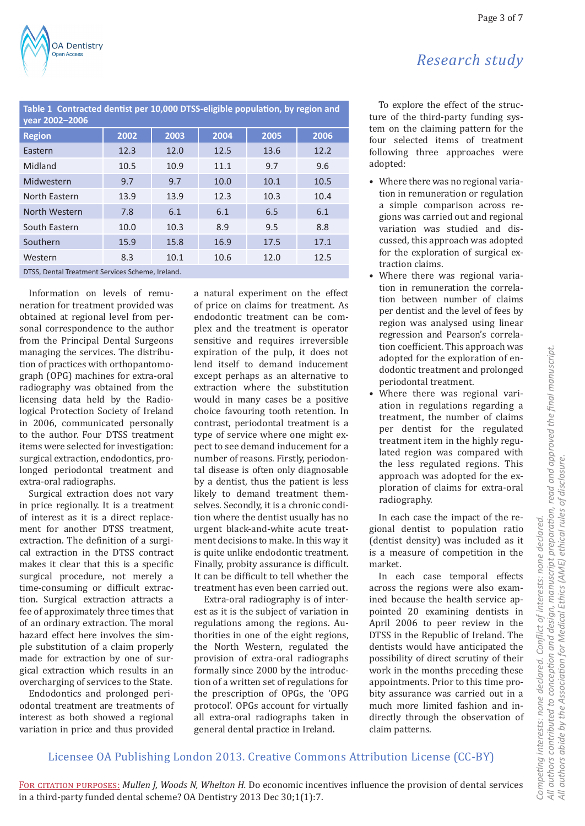| Table 1 Contracted dentist per 10,000 DTSS-eligible population, by region and<br>vear 2002-2006 |      |      |      |      |      |  |
|-------------------------------------------------------------------------------------------------|------|------|------|------|------|--|
| <b>Region</b>                                                                                   | 2002 | 2003 | 2004 | 2005 | 2006 |  |
| Eastern                                                                                         | 12.3 | 12.0 | 12.5 | 13.6 | 12.2 |  |
| Midland                                                                                         | 10.5 | 10.9 | 11.1 | 9.7  | 9.6  |  |
| Midwestern                                                                                      | 9.7  | 9.7  | 10.0 | 10.1 | 10.5 |  |
| North Eastern                                                                                   | 13.9 | 13.9 | 12.3 | 10.3 | 10.4 |  |
| North Western                                                                                   | 7.8  | 6.1  | 6.1  | 6.5  | 6.1  |  |
| South Eastern                                                                                   | 10.0 | 10.3 | 8.9  | 9.5  | 8.8  |  |
| Southern                                                                                        | 15.9 | 15.8 | 16.9 | 17.5 | 17.1 |  |
| Western                                                                                         | 8.3  | 10.1 | 10.6 | 12.0 | 12.5 |  |
| DTSS, Dental Treatment Services Scheme, Ireland.                                                |      |      |      |      |      |  |

Information on levels of remuneration for treatment provided was obtained at regional level from personal correspondence to the author from the Principal Dental Surgeons managing the services. The distribution of practices with orthopantomograph (OPG) machines for extra-oral radiography was obtained from the licensing data held by the Radiological Protection Society of Ireland in 2006, communicated personally to the author. Four DTSS treatment items were selected for investigation: surgical extraction, endodontics, prolonged periodontal treatment and extra-oral radiographs.

Surgical extraction does not vary in price regionally. It is a treatment of interest as it is a direct replacement for another DTSS treatment, extraction. The definition of a surgical extraction in the DTSS contract makes it clear that this is a specific surgical procedure, not merely a time-consuming or difficult extraction. Surgical extraction attracts a fee of approximately three times that of an ordinary extraction. The moral hazard effect here involves the simple substitution of a claim properly made for extraction by one of surgical extraction which results in an overcharging of services to the State.

Endodontics and prolonged periodontal treatment are treatments of interest as both showed a regional variation in price and thus provided a natural experiment on the effect of price on claims for treatment. As endodontic treatment can be complex and the treatment is operator sensitive and requires irreversible expiration of the pulp, it does not lend itself to demand inducement except perhaps as an alternative to extraction where the substitution would in many cases be a positive choice favouring tooth retention. In contrast, periodontal treatment is a type of service where one might expect to see demand inducement for a number of reasons. Firstly, periodontal disease is often only diagnosable by a dentist, thus the patient is less likely to demand treatment themselves. Secondly, it is a chronic condition where the dentist usually has no urgent black-and-white acute treatment decisions to make. In this way it is quite unlike endodontic treatment. Finally, probity assurance is difficult. It can be difficult to tell whether the treatment has even been carried out.

Extra-oral radiography is of interest as it is the subject of variation in regulations among the regions. Authorities in one of the eight regions, the North Western, regulated the provision of extra-oral radiographs formally since 2000 by the introduction of a written set of regulations for the prescription of OPGs, the 'OPG protocol'. OPGs account for virtually all extra-oral radiographs taken in general dental practice in Ireland.

To explore the effect of the structure of the third-party funding system on the claiming pattern for the four selected items of treatment following three approaches were adopted:

- Where there was no regional variation in remuneration or regulation a simple comparison across regions was carried out and regional variation was studied and discussed, this approach was adopted for the exploration of surgical extraction claims.
- Where there was regional variation in remuneration the correlation between number of claims per dentist and the level of fees by region was analysed using linear regression and Pearson's correlation coefficient. This approach was adopted for the exploration of endodontic treatment and prolonged periodontal treatment.
- Where there was regional variation in regulations regarding a treatment, the number of claims per dentist for the regulated treatment item in the highly regulated region was compared with the less regulated regions. This approach was adopted for the exploration of claims for extra-oral radiography.

In each case the impact of the regional dentist to population ratio (dentist density) was included as it is a measure of competition in the market.

In each case temporal effects across the regions were also examined because the health service appointed 20 examining dentists in April 2006 to peer review in the DTSS in the Republic of Ireland. The dentists would have anticipated the possibility of direct scrutiny of their work in the months preceding these appointments. Prior to this time probity assurance was carried out in a much more limited fashion and indirectly through the observation of claim patterns.

## Licensee OA Publishing London 2013. Creative Commons Attribution License (CC-BY)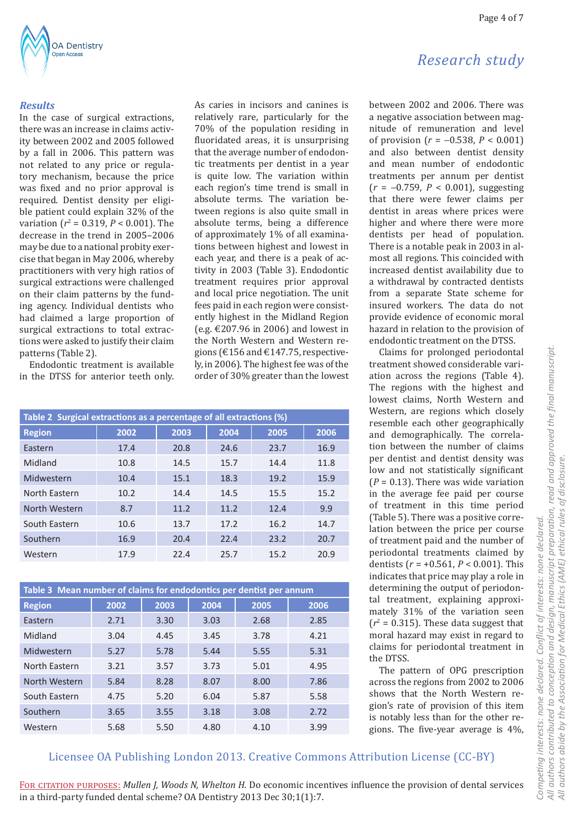

#### *Results*

In the case of surgical extractions, there was an increase in claims activity between 2002 and 2005 followed by a fall in 2006. This pattern was not related to any price or regulatory mechanism, because the price was fixed and no prior approval is required. Dentist density per eligible patient could explain 32% of the variation ( $r^2 = 0.319$ ,  $P < 0.001$ ). The decrease in the trend in 2005–2006 may be due to a national probity exercise that began in May 2006, whereby practitioners with very high ratios of surgical extractions were challenged on their claim patterns by the funding agency. Individual dentists who had claimed a large proportion of surgical extractions to total extractions were asked to justify their claim patterns (Table 2).

Endodontic treatment is available in the DTSS for anterior teeth only.

As caries in incisors and canines is relatively rare, particularly for the 70% of the population residing in fluoridated areas, it is unsurprising that the average number of endodontic treatments per dentist in a year is quite low. The variation within each region's time trend is small in absolute terms. The variation between regions is also quite small in absolute terms, being a difference of approximately 1% of all examinations between highest and lowest in each year, and there is a peak of activity in 2003 (Table 3). Endodontic treatment requires prior approval and local price negotiation. The unit fees paid in each region were consistently highest in the Midland Region (e.g. €207.96 in 2006) and lowest in the North Western and Western regions (€156 and €147.75, respectively, in 2006). The highest fee was of the order of 30% greater than the lowest

| Table 2 Surgical extractions as a percentage of all extractions (%) |      |      |      |      |      |  |
|---------------------------------------------------------------------|------|------|------|------|------|--|
| <b>Region</b>                                                       | 2002 | 2003 | 2004 | 2005 | 2006 |  |
| Eastern                                                             | 17.4 | 20.8 | 24.6 | 23.7 | 16.9 |  |
| Midland                                                             | 10.8 | 14.5 | 15.7 | 14.4 | 11.8 |  |
| Midwestern                                                          | 10.4 | 15.1 | 18.3 | 19.2 | 15.9 |  |
| North Eastern                                                       | 10.2 | 14.4 | 14.5 | 15.5 | 15.2 |  |
| North Western                                                       | 8.7  | 11.2 | 11.2 | 12.4 | 9.9  |  |
| South Eastern                                                       | 10.6 | 13.7 | 17.2 | 16.2 | 14.7 |  |
| Southern                                                            | 16.9 | 20.4 | 22.4 | 23.2 | 20.7 |  |
| Western                                                             | 17.9 | 22.4 | 25.7 | 15.2 | 20.9 |  |

| Table 3 Mean number of claims for endodontics per dentist per annum |      |      |      |      |      |  |
|---------------------------------------------------------------------|------|------|------|------|------|--|
| <b>Region</b>                                                       | 2002 | 2003 | 2004 | 2005 | 2006 |  |
| Eastern                                                             | 2.71 | 3.30 | 3.03 | 2.68 | 2.85 |  |
| Midland                                                             | 3.04 | 4.45 | 3.45 | 3.78 | 4.21 |  |
| Midwestern                                                          | 5.27 | 5.78 | 5.44 | 5.55 | 5.31 |  |
| North Fastern                                                       | 3.21 | 3.57 | 3.73 | 5.01 | 4.95 |  |
| North Western                                                       | 5.84 | 8.28 | 8.07 | 8.00 | 7.86 |  |
| South Eastern                                                       | 4.75 | 5.20 | 6.04 | 5.87 | 5.58 |  |
| Southern                                                            | 3.65 | 3.55 | 3.18 | 3.08 | 2.72 |  |
| Western                                                             | 5.68 | 5.50 | 4.80 | 4.10 | 3.99 |  |

*Research study*

Page 4 of 7

between 2002 and 2006. There was a negative association between magnitude of remuneration and level of provision (*r* = −0.538, *P* < 0.001) and also between dentist density and mean number of endodontic treatments per annum per dentist (*r* = −0.759, *P* < 0.001), suggesting that there were fewer claims per dentist in areas where prices were higher and where there were more dentists per head of population. There is a notable peak in 2003 in almost all regions. This coincided with increased dentist availability due to a withdrawal by contracted dentists from a separate State scheme for insured workers. The data do not provide evidence of economic moral hazard in relation to the provision of

endodontic treatment on the DTSS. Claims for prolonged periodontal treatment showed considerable variation across the regions (Table 4). The regions with the highest and lowest claims, North Western and Western, are regions which closely resemble each other geographically and demographically. The correlation between the number of claims per dentist and dentist density was low and not statistically significant  $(P = 0.13)$ . There was wide variation in the average fee paid per course of treatment in this time period (Table 5). There was a positive correlation between the price per course of treatment paid and the number of periodontal treatments claimed by dentists (*r* = +0.561, *P* < 0.001). This indicates that price may play a role in determining the output of periodontal treatment, explaining approximately 31% of the variation seen  $(r^2 = 0.315)$ . These data suggest that moral hazard may exist in regard to claims for periodontal treatment in the DTSS.

The pattern of OPG prescription across the regions from 2002 to 2006 shows that the North Western region's rate of provision of this item is notably less than for the other regions. The five-year average is 4%,

## Licensee OA Publishing London 2013. Creative Commons Attribution License (CC-BY)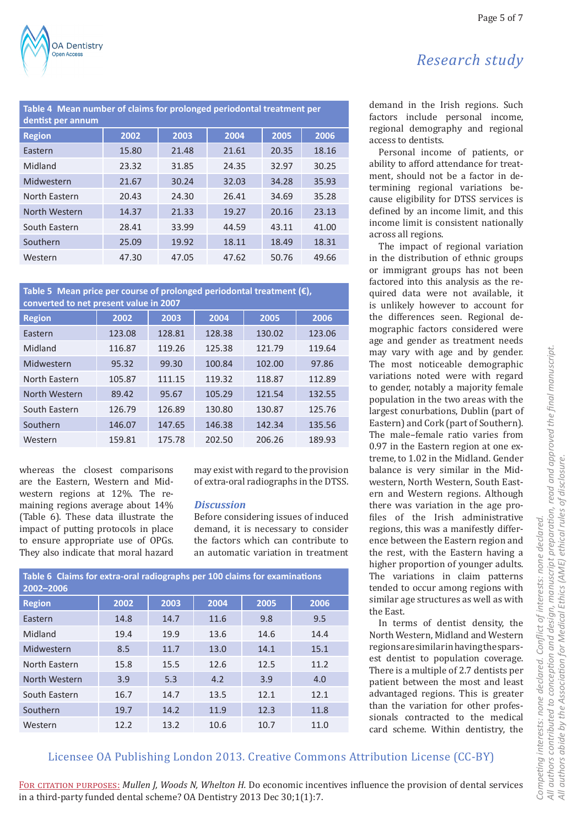

| Table 4 Mean number of claims for prolonged periodontal treatment per<br>dentist per annum |       |       |       |       |       |  |  |
|--------------------------------------------------------------------------------------------|-------|-------|-------|-------|-------|--|--|
| <b>Region</b>                                                                              | 2002  | 2003  | 2004  | 2005  | 2006  |  |  |
| Eastern                                                                                    | 15.80 | 21.48 | 21.61 | 20.35 | 18.16 |  |  |
| Midland                                                                                    | 23.32 | 31.85 | 24.35 | 32.97 | 30.25 |  |  |
| Midwestern                                                                                 | 21.67 | 30.24 | 32.03 | 34.28 | 35.93 |  |  |
| North Eastern                                                                              | 20.43 | 24.30 | 26.41 | 34.69 | 35.28 |  |  |
| North Western                                                                              | 14.37 | 21.33 | 19.27 | 20.16 | 23.13 |  |  |
| South Eastern                                                                              | 28.41 | 33.99 | 44.59 | 43.11 | 41.00 |  |  |
| Southern                                                                                   | 25.09 | 19.92 | 18.11 | 18.49 | 18.31 |  |  |
| Western                                                                                    | 47.30 | 47.05 | 47.62 | 50.76 | 49.66 |  |  |

## **Table 5 Mean price per course of prolonged periodontal treatment (€), converted to net present value in 2007**

| <u>sonici tem to net present valme in Evor</u> |        |        |        |        |        |  |
|------------------------------------------------|--------|--------|--------|--------|--------|--|
| <b>Region</b>                                  | 2002   | 2003   | 2004   | 2005   | 2006   |  |
| Eastern                                        | 123.08 | 128.81 | 128.38 | 130.02 | 123.06 |  |
| Midland                                        | 116.87 | 119.26 | 125.38 | 121.79 | 119.64 |  |
| Midwestern                                     | 95.32  | 99.30  | 100.84 | 102.00 | 97.86  |  |
| North Eastern                                  | 105.87 | 111.15 | 119.32 | 118.87 | 112.89 |  |
| North Western                                  | 89.42  | 95.67  | 105.29 | 121.54 | 132.55 |  |
| South Eastern                                  | 126.79 | 126.89 | 130.80 | 130.87 | 125.76 |  |
| Southern                                       | 146.07 | 147.65 | 146.38 | 142.34 | 135.56 |  |
| Western                                        | 159.81 | 175.78 | 202.50 | 206.26 | 189.93 |  |
|                                                |        |        |        |        |        |  |

whereas the closest comparisons are the Eastern, Western and Midwestern regions at 12%. The remaining regions average about 14% (Table 6). These data illustrate the impact of putting protocols in place to ensure appropriate use of OPGs. They also indicate that moral hazard

may exist with regard to the provision of extra-oral radiographs in the DTSS.

## *Discussion*

Before considering issues of induced demand, it is necessary to consider the factors which can contribute to an automatic variation in treatment

| Table 6 Claims for extra-oral radiographs per 100 claims for examinations<br>2002-2006 |      |      |      |      |      |  |
|----------------------------------------------------------------------------------------|------|------|------|------|------|--|
| <b>Region</b>                                                                          | 2002 | 2003 | 2004 | 2005 | 2006 |  |
| Eastern                                                                                | 14.8 | 14.7 | 11.6 | 9.8  | 9.5  |  |
| Midland                                                                                | 19.4 | 19.9 | 13.6 | 14.6 | 14.4 |  |
| Midwestern                                                                             | 8.5  | 11.7 | 13.0 | 14.1 | 15.1 |  |
| North Eastern                                                                          | 15.8 | 15.5 | 12.6 | 12.5 | 11.2 |  |
| North Western                                                                          | 3.9  | 5.3  | 4.2  | 3.9  | 4.0  |  |
| South Eastern                                                                          | 16.7 | 14.7 | 13.5 | 12.1 | 12.1 |  |
| Southern                                                                               | 19.7 | 14.2 | 11.9 | 12.3 | 11.8 |  |
| Western                                                                                | 12.2 | 13.2 | 10.6 | 10.7 | 11.0 |  |

Page 5 of 7

# *Research study*

demand in the Irish regions. Such factors include personal income, regional demography and regional access to dentists.

Personal income of patients, or ability to afford attendance for treatment, should not be a factor in determining regional variations because eligibility for DTSS services is defined by an income limit, and this income limit is consistent nationally across all regions.

The impact of regional variation in the distribution of ethnic groups or immigrant groups has not been factored into this analysis as the required data were not available, it is unlikely however to account for the differences seen. Regional demographic factors considered were age and gender as treatment needs may vary with age and by gender. The most noticeable demographic variations noted were with regard to gender, notably a majority female population in the two areas with the largest conurbations, Dublin (part of Eastern) and Cork (part of Southern). The male–female ratio varies from 0.97 in the Eastern region at one extreme, to 1.02 in the Midland. Gender balance is very similar in the Midwestern, North Western, South Eastern and Western regions. Although there was variation in the age profiles of the Irish administrative regions, this was a manifestly difference between the Eastern region and the rest, with the Eastern having a higher proportion of younger adults. The variations in claim patterns tended to occur among regions with similar age structures as well as with the East.

In terms of dentist density, the North Western, Midland and Western regions are similar in having the sparsest dentist to population coverage. There is a multiple of 2.7 dentists per patient between the most and least advantaged regions. This is greater than the variation for other professionals contracted to the medical card scheme. Within dentistry, the

## Licensee OA Publishing London 2013. Creative Commons Attribution License (CC-BY)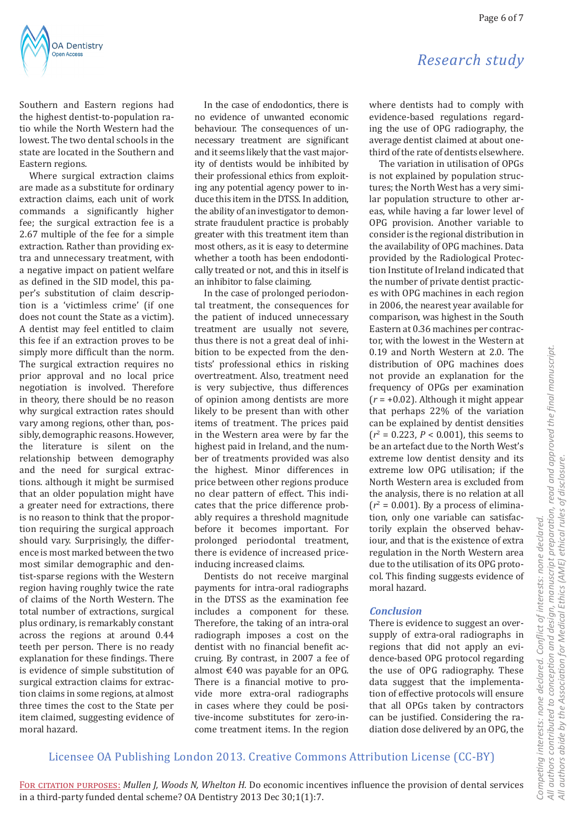

Southern and Eastern regions had the highest dentist-to-population ratio while the North Western had the lowest. The two dental schools in the state are located in the Southern and Eastern regions.

Where surgical extraction claims are made as a substitute for ordinary extraction claims, each unit of work commands a significantly higher fee; the surgical extraction fee is a 2.67 multiple of the fee for a simple extraction. Rather than providing extra and unnecessary treatment, with a negative impact on patient welfare as defined in the SID model, this paper's substitution of claim description is a 'victimless crime' (if one does not count the State as a victim). A dentist may feel entitled to claim this fee if an extraction proves to be simply more difficult than the norm. The surgical extraction requires no prior approval and no local price negotiation is involved. Therefore in theory, there should be no reason why surgical extraction rates should vary among regions, other than, possibly, demographic reasons. However, the literature is silent on the relationship between demography and the need for surgical extractions. although it might be surmised that an older population might have a greater need for extractions, there is no reason to think that the proportion requiring the surgical approach should vary. Surprisingly, the difference is most marked between the two most similar demographic and dentist-sparse regions with the Western region having roughly twice the rate of claims of the North Western. The total number of extractions, surgical plus ordinary, is remarkably constant across the regions at around 0.44 teeth per person. There is no ready explanation for these findings. There is evidence of simple substitution of surgical extraction claims for extraction claims in some regions, at almost three times the cost to the State per item claimed, suggesting evidence of moral hazard.

In the case of endodontics, there is no evidence of unwanted economic behaviour. The consequences of unnecessary treatment are significant and it seems likely that the vast majority of dentists would be inhibited by their professional ethics from exploiting any potential agency power to induce this item in the DTSS. In addition, the ability of an investigator to demonstrate fraudulent practice is probably greater with this treatment item than most others, as it is easy to determine whether a tooth has been endodontically treated or not, and this in itself is an inhibitor to false claiming.

In the case of prolonged periodontal treatment, the consequences for the patient of induced unnecessary treatment are usually not severe, thus there is not a great deal of inhibition to be expected from the dentists' professional ethics in risking overtreatment. Also, treatment need is very subjective, thus differences of opinion among dentists are more likely to be present than with other items of treatment. The prices paid in the Western area were by far the highest paid in Ireland, and the number of treatments provided was also the highest. Minor differences in price between other regions produce no clear pattern of effect. This indicates that the price difference probably requires a threshold magnitude before it becomes important. For prolonged periodontal treatment, there is evidence of increased priceinducing increased claims.

Dentists do not receive marginal payments for intra-oral radiographs in the DTSS as the examination fee includes a component for these. Therefore, the taking of an intra-oral radiograph imposes a cost on the dentist with no financial benefit accruing. By contrast, in 2007 a fee of almost €40 was payable for an OPG. There is a financial motive to provide more extra-oral radiographs in cases where they could be positive-income substitutes for zero-income treatment items. In the region

# *Research study*

where dentists had to comply with evidence-based regulations regarding the use of OPG radiography, the average dentist claimed at about onethird of the rate of dentists elsewhere.

The variation in utilisation of OPGs is not explained by population structures; the North West has a very similar population structure to other areas, while having a far lower level of OPG provision. Another variable to consider is the regional distribution in the availability of OPG machines. Data provided by the Radiological Protection Institute of Ireland indicated that the number of private dentist practices with OPG machines in each region in 2006, the nearest year available for comparison, was highest in the South Eastern at 0.36 machines per contractor, with the lowest in the Western at 0.19 and North Western at 2.0. The distribution of OPG machines does not provide an explanation for the frequency of OPGs per examination (*r* = +0.02). Although it might appear that perhaps 22% of the variation can be explained by dentist densities (*r*2 = 0.223, *P* < 0.001), this seems to be an artefact due to the North West's extreme low dentist density and its extreme low OPG utilisation; if the North Western area is excluded from the analysis, there is no relation at all  $(r^2 = 0.001)$ . By a process of elimination, only one variable can satisfactorily explain the observed behaviour, and that is the existence of extra regulation in the North Western area due to the utilisation of its OPG protocol. This finding suggests evidence of moral hazard.

## *Conclusion*

There is evidence to suggest an oversupply of extra-oral radiographs in regions that did not apply an evidence-based OPG protocol regarding the use of OPG radiography. These data suggest that the implementation of effective protocols will ensure that all OPGs taken by contractors can be justified. Considering the radiation dose delivered by an OPG, the

## Licensee OA Publishing London 2013. Creative Commons Attribution License (CC-BY)

All authors contributed to conception and design, manuscript preparation, read and approved the final manuscript. *All authors contributed to conception and design, manuscript preparation, read and approved the final manuscript.* All authors abide by the Association for Medical Ethics (AME) ethical rules of disclosure. *All authors abide by the Association for Medical Ethics (AME) ethical rules of disclosure. Competing interests: none declared. Conflict of interests: none declared.*  Conflict of interests: none declared. Competing interests: none declared.